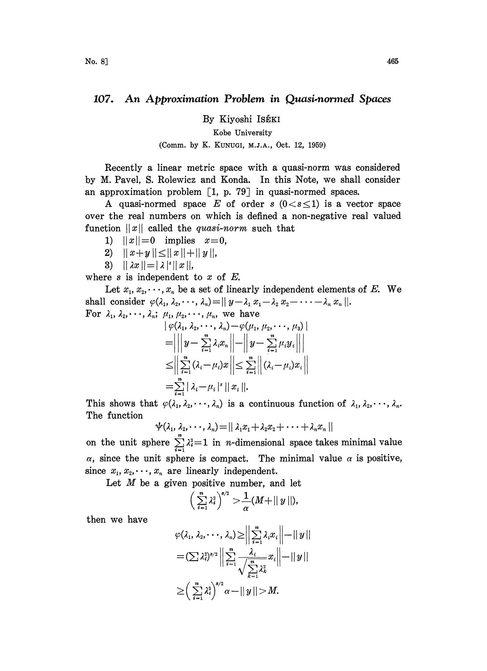## 107. An Approximation Problem in Quasi-normed Spaces

By Kiyoshi ISÉKI

Kobe University

## (Comm. by K. KUNUGI, M.J.A., Oct. 12, 1959)

Recently a linear metric space with a quasi-norm was considered by M. Pavel, S. Rolewicz and Konda. In this Note, we shall consider an approximation problem  $\lceil 1, p. 79 \rceil$  in quasi-normed spaces.

A quasi-normed space E of order s  $(0 < s \leq 1)$  is a vector space over the real numbers on which is defined a non-negative real valued function  $||x||$  called the *quasi-norm* such that

- 1)  $||x||=0$  implies  $x=0$ ,
- 2)  $||x+y|| \le ||x|| + ||y||$
- 3)  $|| \lambda x || = |\lambda|^s ||x||$

where  $s$  is independent to  $x$  of  $E$ .

Let  $x_1, x_2, \dots, x_n$  be a set of linearly independent elements of E. We shall consider  $\varphi(\lambda_1, \lambda_2, \dots, \lambda_n) = ||y - \lambda_1 x_1 - \lambda_2 x_2 - \dots - \lambda_n x_n||.$ For  $\lambda_1, \lambda_2, \dots, \lambda_n; \mu_1, \mu_2, \dots, \mu_n$ , we have

$$
\begin{aligned} &\left|\varphi(\lambda_1,\lambda_2,\cdots,\lambda_n)-\varphi(\mu_1,\mu_2,\cdots,\mu_3)\right|\\ =&\left|\left|\left|y-\sum_{i=1}^n\lambda_ix_i\right|\right|-\left|\left|y-\sum_{i=1}^n\mu_iy_i\right|\right|\right|\\ \leq&\left|\left|\sum_{i=1}^n(\lambda_i-\mu_i)x\right|\right|\leq\sum_{i=1}^n\left|\left|(\lambda_i-\mu_i)x_i\right|\right|\\ =&\sum_{i=1}^n|\lambda_i-\mu_i|^s\,||\,x_i\,||.\end{aligned}
$$

This shows that  $\varphi(\lambda_1, \lambda_2, \dots, \lambda_n)$  is a continuous function of  $\lambda_1, \lambda_2, \dots, \lambda_n$ . The function

$$
\psi(\lambda_1, \lambda_2, \cdots, \lambda_n) = || \lambda_1 x_1 + \lambda_2 x_2 + \cdots + \lambda_n x_n ||
$$

on the unit sphere  $\sum_{i=1}^{n} \lambda_i^2 = 1$  in *n*-dimensional space takes minimal value  $\alpha$ , since the unit sphere is compact. The minimal value  $\alpha$  is positive, since  $x_1, x_2, \dots, x_n$  are linearly independent.

Let  $M$  be a given positive number, and let

$$
\left(\sum_{i=1}^n \lambda_i^2\right)^{s/2} > \frac{1}{\alpha} (M + ||y||),
$$

**Allen** 

then we have

$$
\varphi(\lambda_1, \lambda_2, \dots, \lambda_n) \geq \left\| \sum_{i=1}^n \lambda_i x_i \right\| - \left\| y \right\|
$$
  
=  $(\sum \lambda_i^2)^{s/2} \left\| \sum_{i=1}^n \frac{\lambda_i}{\sqrt{\sum_{k=1}^n \lambda_k^2}} x_i \right\| - \left\| y \right\|$   

$$
\geq \left(\sum_{i=1}^n \lambda_i^2\right)^{s/2} \alpha - \left\| y \right\| > M.
$$